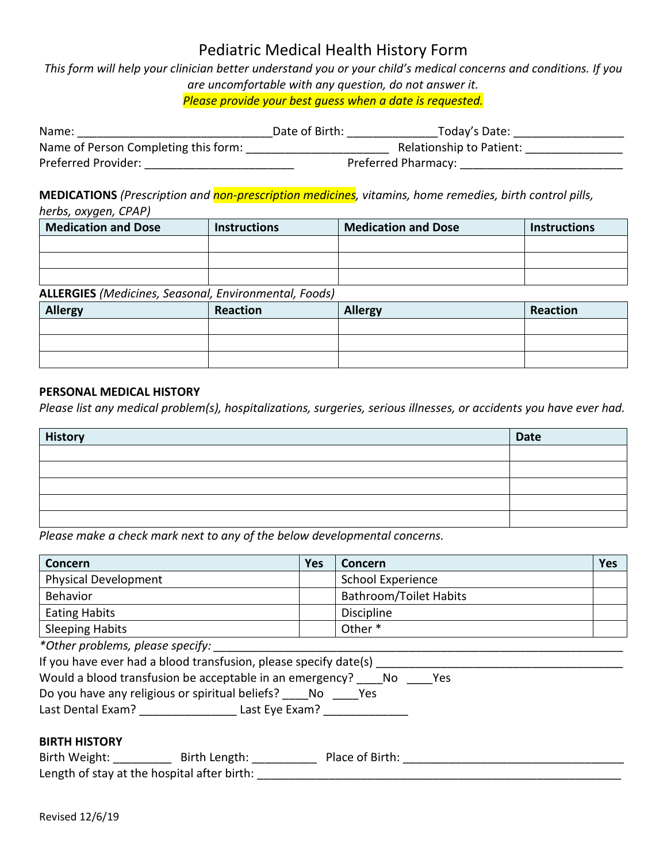*This form will help your clinician better understand you or your child's medical concerns and conditions. If you are uncomfortable with any question, do not answer it. Please provide your best guess when a date is requested.*

| Name:                                | Date of Birth: | Today's Date:            |  |
|--------------------------------------|----------------|--------------------------|--|
| Name of Person Completing this form: |                | Relationship to Patient: |  |
| Preferred Provider:                  |                | Preferred Pharmacy:      |  |

**MEDICATIONS** *(Prescription and non-prescription medicines, vitamins, home remedies, birth control pills, herbs, oxygen, CPAP)*

| <b>Medication and Dose</b> | <b>Instructions</b> | <b>Medication and Dose</b> | <b>Instructions</b> |
|----------------------------|---------------------|----------------------------|---------------------|
|                            |                     |                            |                     |
|                            |                     |                            |                     |
|                            |                     |                            |                     |

### **ALLERGIES** *(Medicines, Seasonal, Environmental, Foods)*

| <b>Allergy</b> | Reaction | <b>Allergy</b> | Reaction |
|----------------|----------|----------------|----------|
|                |          |                |          |
|                |          |                |          |
|                |          |                |          |

#### **PERSONAL MEDICAL HISTORY**

*Please list any medical problem(s), hospitalizations, surgeries, serious illnesses, or accidents you have ever had.*

| <b>History</b> | Date |
|----------------|------|
|                |      |
|                |      |
|                |      |
|                |      |
|                |      |

*Please make a check mark next to any of the below developmental concerns.*

| Concern                                                             | <b>Yes</b> | Concern                       | <b>Yes</b> |  |  |
|---------------------------------------------------------------------|------------|-------------------------------|------------|--|--|
| <b>Physical Development</b>                                         |            | School Experience             |            |  |  |
| Behavior                                                            |            | <b>Bathroom/Toilet Habits</b> |            |  |  |
| <b>Eating Habits</b>                                                |            | Discipline                    |            |  |  |
| <b>Sleeping Habits</b>                                              |            | Other*                        |            |  |  |
| *Other problems, please specify:                                    |            |                               |            |  |  |
| If you have ever had a blood transfusion, please specify date(s)    |            |                               |            |  |  |
| Would a blood transfusion be acceptable in an emergency? No Yes     |            |                               |            |  |  |
| Do you have any religious or spiritual beliefs? _____ No ______ Yes |            |                               |            |  |  |
| Last Dental Exam? Last Eye Exam?                                    |            |                               |            |  |  |
|                                                                     |            |                               |            |  |  |

#### **BIRTH HISTORY**

| Birth Weight:                               | Birth Length: | Place of Birth: |
|---------------------------------------------|---------------|-----------------|
| Length of stay at the hospital after birth: |               |                 |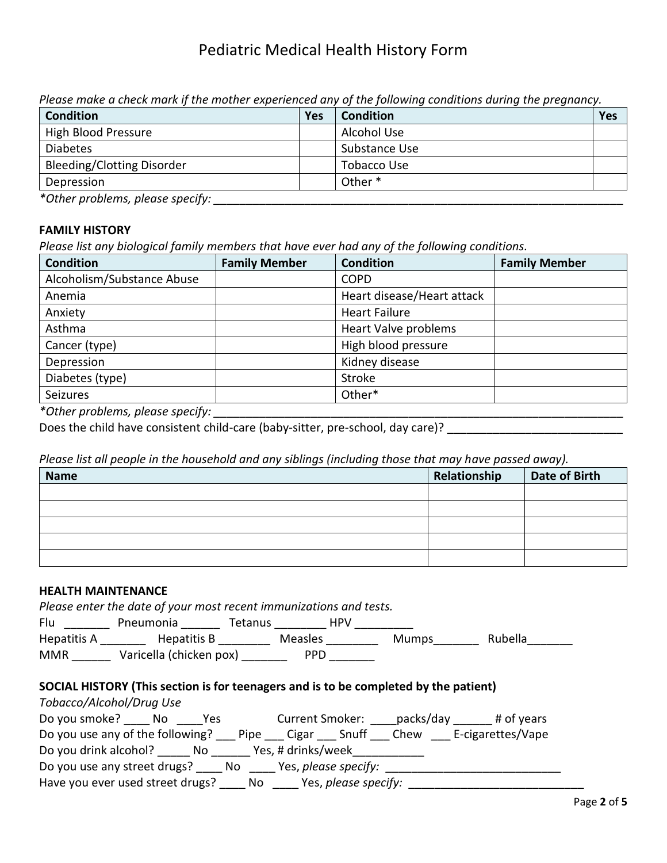*Please make a check mark if the mother experienced any of the following conditions during the pregnancy.*

| <b>Condition</b>                     | Yes | <b>Condition</b>   | Yes |
|--------------------------------------|-----|--------------------|-----|
| <b>High Blood Pressure</b>           |     | Alcohol Use        |     |
| <b>Diabetes</b>                      |     | Substance Use      |     |
| Bleeding/Clotting Disorder           |     | Tobacco Use        |     |
| Depression                           |     | Other <sup>*</sup> |     |
| $*$ Othau wushlamaa ulamaa su aaffin |     |                    |     |

*\*Other problems, please specify: \_\_\_\_\_\_\_\_\_\_\_\_\_\_\_\_\_\_\_\_\_\_\_\_\_\_\_\_\_\_\_\_\_\_\_\_\_\_\_\_\_\_\_\_\_\_\_\_\_\_\_\_\_\_\_\_\_\_\_\_\_\_\_*

### **FAMILY HISTORY**

*Please list any biological family members that have ever had any of the following conditions.*

| <b>Condition</b>                                                                                                                             | <b>Family Member</b> | <b>Condition</b>            | <b>Family Member</b> |
|----------------------------------------------------------------------------------------------------------------------------------------------|----------------------|-----------------------------|----------------------|
| Alcoholism/Substance Abuse                                                                                                                   |                      | <b>COPD</b>                 |                      |
| Anemia                                                                                                                                       |                      | Heart disease/Heart attack  |                      |
| Anxiety                                                                                                                                      |                      | <b>Heart Failure</b>        |                      |
| Asthma                                                                                                                                       |                      | <b>Heart Valve problems</b> |                      |
| Cancer (type)                                                                                                                                |                      | High blood pressure         |                      |
| Depression                                                                                                                                   |                      | Kidney disease              |                      |
| Diabetes (type)                                                                                                                              |                      | Stroke                      |                      |
| Seizures                                                                                                                                     |                      | Other*                      |                      |
| $\star$ and $\star$ in the contract of the contract of $\star$ and $\star$ and $\star$ is the contract of $\star$ is the contract of $\star$ |                      |                             |                      |

*\*Other problems, please specify: \_\_\_\_\_\_\_\_\_\_\_\_\_\_\_\_\_\_\_\_\_\_\_\_\_\_\_\_\_\_\_\_\_\_\_\_\_\_\_\_\_\_\_\_\_\_\_\_\_\_\_\_\_\_\_\_\_\_\_\_\_\_\_*

Does the child have consistent child-care (baby-sitter, pre-school, day care)?

*Please list all people in the household and any siblings (including those that may have passed away).*

| <b>Name</b> | Relationship | <b>Date of Birth</b> |
|-------------|--------------|----------------------|
|             |              |                      |
|             |              |                      |
|             |              |                      |
|             |              |                      |
|             |              |                      |

#### **HEALTH MAINTENANCE**

|     | Please enter the date of your most recent immunizations and tests. |                |            |  |
|-----|--------------------------------------------------------------------|----------------|------------|--|
| Flu | Pneumonia                                                          | <b>Tetanus</b> | <b>HPV</b> |  |

| Hepatitis A | Hepatitis B             | Measles | Mumps | <b>Rubella</b> |
|-------------|-------------------------|---------|-------|----------------|
| <b>MMR</b>  | Varicella (chicken pox) | PPD     |       |                |

### **SOCIAL HISTORY (This section is for teenagers and is to be completed by the patient)**

| Tobacco/Alcohol/Drug Use         |    |      |      |                        |                      |           |                   |
|----------------------------------|----|------|------|------------------------|----------------------|-----------|-------------------|
| Do you smoke?                    | No | Yes. |      | <b>Current Smoker:</b> |                      | packs/day | # of years        |
| Do you use any of the following? |    |      | Pipe | Cigar                  | Snuff                | Chew      | E-cigarettes/Vape |
| Do you drink alcohol?            |    | No   |      | Yes, # drinks/week     |                      |           |                   |
| Do you use any street drugs?     |    |      | No.  |                        | Yes, please specify: |           |                   |
| Have you ever used street drugs? |    |      | No   |                        | Yes, please specify: |           |                   |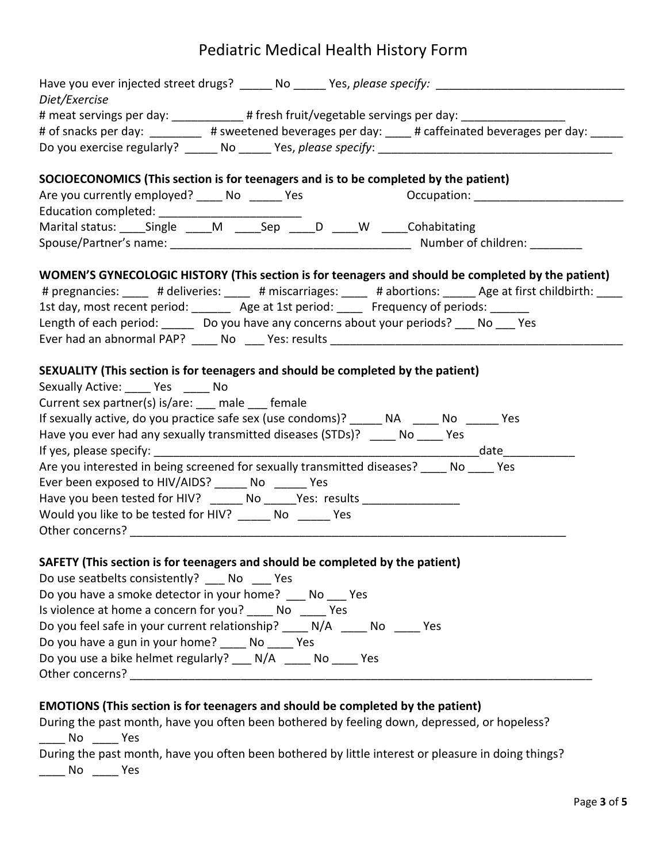| Diet/Exercise                                                                                                |
|--------------------------------------------------------------------------------------------------------------|
| # meat servings per day: ____________# fresh fruit/vegetable servings per day: ____________________          |
| # of snacks per day: _________ # sweetened beverages per day: ____ # caffeinated beverages per day: _____    |
|                                                                                                              |
| SOCIOECONOMICS (This section is for teenagers and is to be completed by the patient)                         |
| Are you currently employed? ______ No ________ Yes<br>Occupation: ____________________                       |
|                                                                                                              |
| Marital status: _____Single _____M ______Sep _____D _____W _____Cohabitating                                 |
|                                                                                                              |
| WOMEN'S GYNECOLOGIC HISTORY (This section is for teenagers and should be completed by the patient)           |
| # pregnancies: ____ # deliveries: ____ # miscarriages: ____ # abortions: _____ Age at first childbirth: ____ |
| 1st day, most recent period: _______ Age at 1st period: _____ Frequency of periods: ______                   |
| Length of each period: ______ Do you have any concerns about your periods? ___ No ___ Yes                    |
|                                                                                                              |
|                                                                                                              |
| SEXUALITY (This section is for teenagers and should be completed by the patient)                             |
| Sexually Active: Yes No                                                                                      |
| Current sex partner(s) is/are: __ male __ female                                                             |
| If sexually active, do you practice safe sex (use condoms)? ______ NA _____ No _____ Yes                     |
| Have you ever had any sexually transmitted diseases (STDs)? _____ No ____ Yes                                |
|                                                                                                              |
| Are you interested in being screened for sexually transmitted diseases? No Yes                               |
| Ever been exposed to HIV/AIDS? _______ No _______ Yes                                                        |
| Have you been tested for HIV? ______ No _____Yes: results ______________________                             |
| Would you like to be tested for HIV? _______ No ______ Yes                                                   |
|                                                                                                              |
| SAFETY (This section is for teenagers and should be completed by the patient)                                |
| Do use seatbelts consistently? No Yes                                                                        |
| Do you have a smoke detector in your home? No Yes                                                            |
| Is violence at home a concern for you? _____ No _____ Yes                                                    |
| Do you feel safe in your current relationship? ____ N/A ____ No ____ Yes                                     |
| Do you have a gun in your home? _____ No ____ Yes                                                            |
| Do you use a bike helmet regularly? ___ N/A _____ No ____ Yes                                                |
|                                                                                                              |
|                                                                                                              |
| EMOTIONS (This section is for teenagers and should be completed by the patient)                              |
| During the past month, have you often been bothered by feeling down, depressed, or hopeless?                 |
| _____ No _____ Yes                                                                                           |
| During the past month, have you often been bothered by little interest or pleasure in doing things?          |
| No Yes                                                                                                       |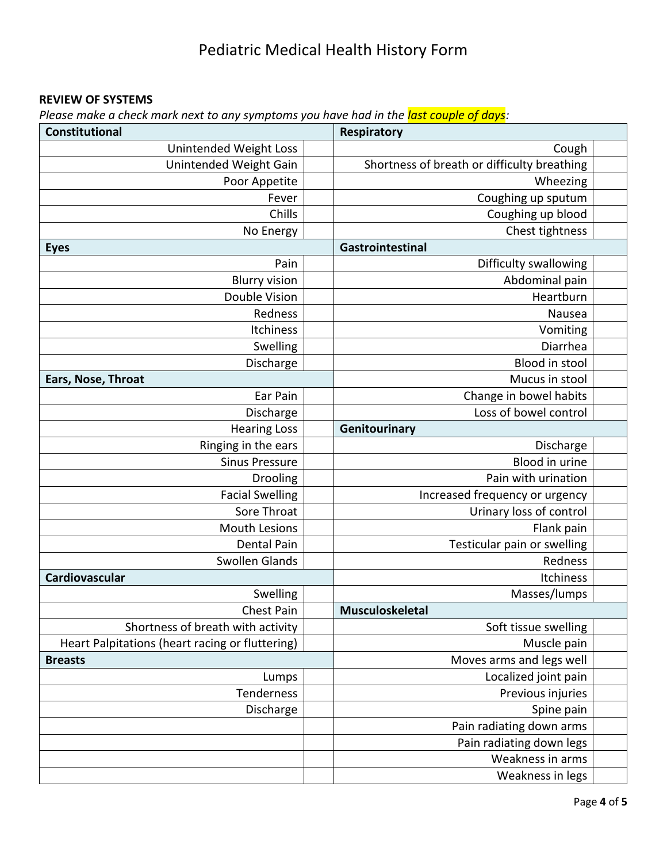## **REVIEW OF SYSTEMS**

*Please make a check mark next to any symptoms you have had in the last couple of days:*

| <b>Constitutional</b>                           | Respiratory                                 |  |
|-------------------------------------------------|---------------------------------------------|--|
| <b>Unintended Weight Loss</b>                   | Cough                                       |  |
| Unintended Weight Gain                          | Shortness of breath or difficulty breathing |  |
| Poor Appetite                                   | Wheezing                                    |  |
| Fever                                           | Coughing up sputum                          |  |
| Chills                                          | Coughing up blood                           |  |
| No Energy                                       | Chest tightness                             |  |
| <b>Eyes</b>                                     | Gastrointestinal                            |  |
| Pain                                            | Difficulty swallowing                       |  |
| <b>Blurry vision</b>                            | Abdominal pain                              |  |
| Double Vision                                   | Heartburn                                   |  |
| Redness                                         | Nausea                                      |  |
| Itchiness                                       | Vomiting                                    |  |
| Swelling                                        | Diarrhea                                    |  |
| Discharge                                       | Blood in stool                              |  |
| Ears, Nose, Throat                              | Mucus in stool                              |  |
| Ear Pain                                        | Change in bowel habits                      |  |
| Discharge                                       | Loss of bowel control                       |  |
| <b>Hearing Loss</b>                             | Genitourinary                               |  |
| Ringing in the ears                             | Discharge                                   |  |
| <b>Sinus Pressure</b>                           | Blood in urine                              |  |
| Drooling                                        | Pain with urination                         |  |
| <b>Facial Swelling</b>                          | Increased frequency or urgency              |  |
| Sore Throat                                     | Urinary loss of control                     |  |
| <b>Mouth Lesions</b>                            | Flank pain                                  |  |
| <b>Dental Pain</b>                              | Testicular pain or swelling                 |  |
| Swollen Glands                                  | Redness                                     |  |
| Cardiovascular                                  | Itchiness                                   |  |
| Swelling                                        | Masses/lumps                                |  |
| Chest Pain                                      | Musculoskeletal                             |  |
| Shortness of breath with activity               | Soft tissue swelling                        |  |
| Heart Palpitations (heart racing or fluttering) | Muscle pain                                 |  |
| <b>Breasts</b>                                  | Moves arms and legs well                    |  |
| Lumps                                           | Localized joint pain                        |  |
| Tenderness                                      | Previous injuries                           |  |
| Discharge                                       | Spine pain                                  |  |
|                                                 | Pain radiating down arms                    |  |
|                                                 | Pain radiating down legs                    |  |
|                                                 | Weakness in arms                            |  |
|                                                 | Weakness in legs                            |  |